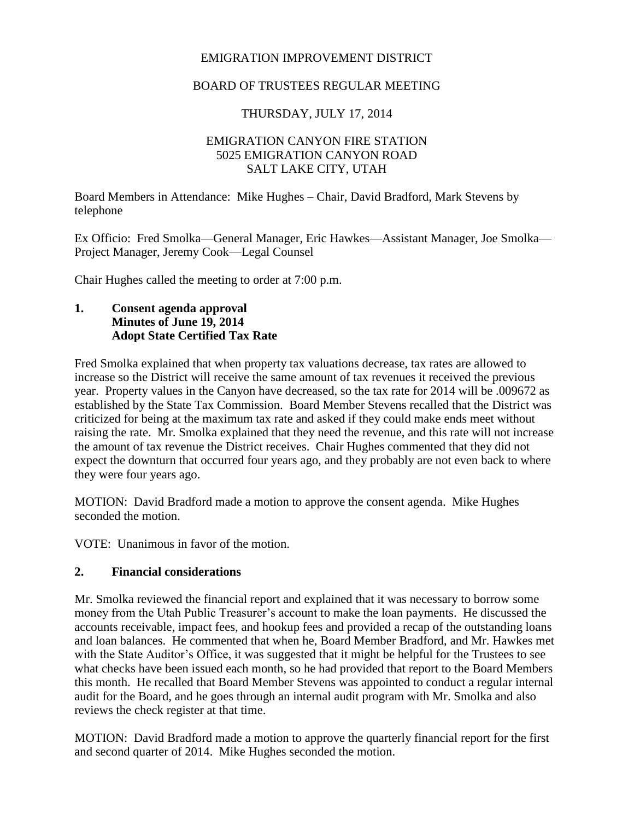### EMIGRATION IMPROVEMENT DISTRICT

### BOARD OF TRUSTEES REGULAR MEETING

## THURSDAY, JULY 17, 2014

#### EMIGRATION CANYON FIRE STATION 5025 EMIGRATION CANYON ROAD SALT LAKE CITY, UTAH

Board Members in Attendance: Mike Hughes – Chair, David Bradford, Mark Stevens by telephone

Ex Officio: Fred Smolka—General Manager, Eric Hawkes—Assistant Manager, Joe Smolka— Project Manager, Jeremy Cook—Legal Counsel

Chair Hughes called the meeting to order at 7:00 p.m.

#### **1. Consent agenda approval Minutes of June 19, 2014 Adopt State Certified Tax Rate**

Fred Smolka explained that when property tax valuations decrease, tax rates are allowed to increase so the District will receive the same amount of tax revenues it received the previous year. Property values in the Canyon have decreased, so the tax rate for 2014 will be .009672 as established by the State Tax Commission. Board Member Stevens recalled that the District was criticized for being at the maximum tax rate and asked if they could make ends meet without raising the rate. Mr. Smolka explained that they need the revenue, and this rate will not increase the amount of tax revenue the District receives. Chair Hughes commented that they did not expect the downturn that occurred four years ago, and they probably are not even back to where they were four years ago.

MOTION: David Bradford made a motion to approve the consent agenda. Mike Hughes seconded the motion.

VOTE: Unanimous in favor of the motion.

#### **2. Financial considerations**

Mr. Smolka reviewed the financial report and explained that it was necessary to borrow some money from the Utah Public Treasurer's account to make the loan payments. He discussed the accounts receivable, impact fees, and hookup fees and provided a recap of the outstanding loans and loan balances. He commented that when he, Board Member Bradford, and Mr. Hawkes met with the State Auditor's Office, it was suggested that it might be helpful for the Trustees to see what checks have been issued each month, so he had provided that report to the Board Members this month. He recalled that Board Member Stevens was appointed to conduct a regular internal audit for the Board, and he goes through an internal audit program with Mr. Smolka and also reviews the check register at that time.

MOTION: David Bradford made a motion to approve the quarterly financial report for the first and second quarter of 2014. Mike Hughes seconded the motion.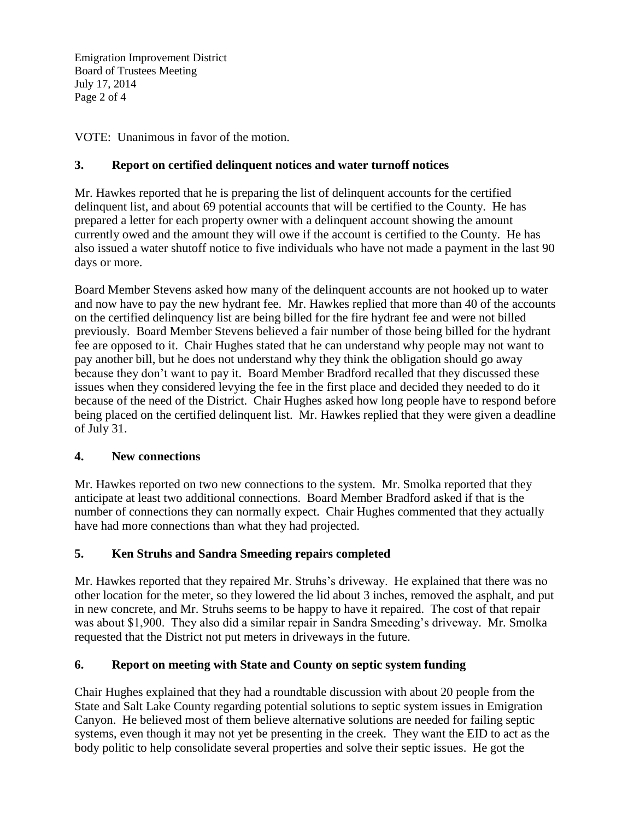Emigration Improvement District Board of Trustees Meeting July 17, 2014 Page 2 of 4

VOTE: Unanimous in favor of the motion.

# **3. Report on certified delinquent notices and water turnoff notices**

Mr. Hawkes reported that he is preparing the list of delinquent accounts for the certified delinquent list, and about 69 potential accounts that will be certified to the County. He has prepared a letter for each property owner with a delinquent account showing the amount currently owed and the amount they will owe if the account is certified to the County. He has also issued a water shutoff notice to five individuals who have not made a payment in the last 90 days or more.

Board Member Stevens asked how many of the delinquent accounts are not hooked up to water and now have to pay the new hydrant fee. Mr. Hawkes replied that more than 40 of the accounts on the certified delinquency list are being billed for the fire hydrant fee and were not billed previously. Board Member Stevens believed a fair number of those being billed for the hydrant fee are opposed to it. Chair Hughes stated that he can understand why people may not want to pay another bill, but he does not understand why they think the obligation should go away because they don't want to pay it. Board Member Bradford recalled that they discussed these issues when they considered levying the fee in the first place and decided they needed to do it because of the need of the District. Chair Hughes asked how long people have to respond before being placed on the certified delinquent list. Mr. Hawkes replied that they were given a deadline of July 31.

## **4. New connections**

Mr. Hawkes reported on two new connections to the system. Mr. Smolka reported that they anticipate at least two additional connections. Board Member Bradford asked if that is the number of connections they can normally expect. Chair Hughes commented that they actually have had more connections than what they had projected.

## **5. Ken Struhs and Sandra Smeeding repairs completed**

Mr. Hawkes reported that they repaired Mr. Struhs's driveway. He explained that there was no other location for the meter, so they lowered the lid about 3 inches, removed the asphalt, and put in new concrete, and Mr. Struhs seems to be happy to have it repaired. The cost of that repair was about \$1,900. They also did a similar repair in Sandra Smeeding's driveway. Mr. Smolka requested that the District not put meters in driveways in the future.

## **6. Report on meeting with State and County on septic system funding**

Chair Hughes explained that they had a roundtable discussion with about 20 people from the State and Salt Lake County regarding potential solutions to septic system issues in Emigration Canyon. He believed most of them believe alternative solutions are needed for failing septic systems, even though it may not yet be presenting in the creek. They want the EID to act as the body politic to help consolidate several properties and solve their septic issues. He got the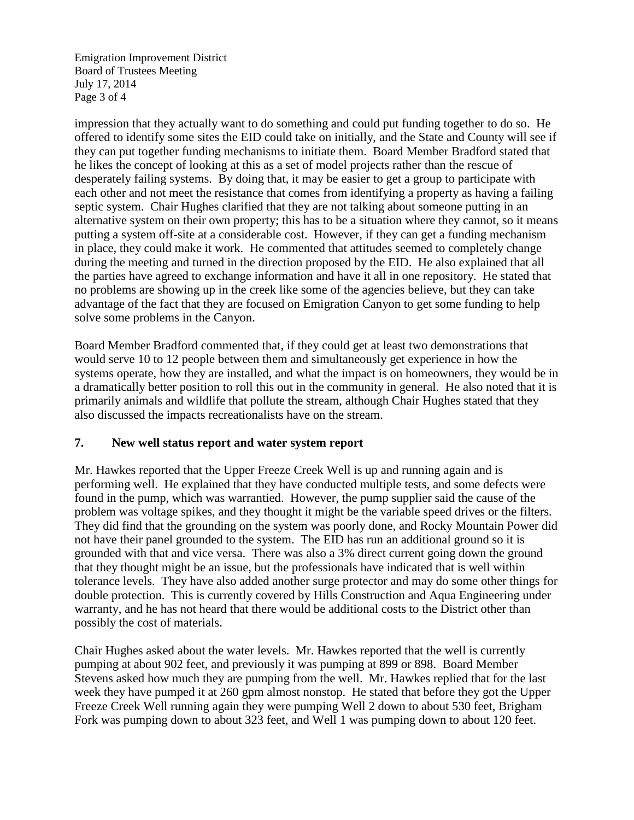Emigration Improvement District Board of Trustees Meeting July 17, 2014 Page 3 of 4

impression that they actually want to do something and could put funding together to do so. He offered to identify some sites the EID could take on initially, and the State and County will see if they can put together funding mechanisms to initiate them. Board Member Bradford stated that he likes the concept of looking at this as a set of model projects rather than the rescue of desperately failing systems. By doing that, it may be easier to get a group to participate with each other and not meet the resistance that comes from identifying a property as having a failing septic system. Chair Hughes clarified that they are not talking about someone putting in an alternative system on their own property; this has to be a situation where they cannot, so it means putting a system off-site at a considerable cost. However, if they can get a funding mechanism in place, they could make it work. He commented that attitudes seemed to completely change during the meeting and turned in the direction proposed by the EID. He also explained that all the parties have agreed to exchange information and have it all in one repository. He stated that no problems are showing up in the creek like some of the agencies believe, but they can take advantage of the fact that they are focused on Emigration Canyon to get some funding to help solve some problems in the Canyon.

Board Member Bradford commented that, if they could get at least two demonstrations that would serve 10 to 12 people between them and simultaneously get experience in how the systems operate, how they are installed, and what the impact is on homeowners, they would be in a dramatically better position to roll this out in the community in general. He also noted that it is primarily animals and wildlife that pollute the stream, although Chair Hughes stated that they also discussed the impacts recreationalists have on the stream.

#### **7. New well status report and water system report**

Mr. Hawkes reported that the Upper Freeze Creek Well is up and running again and is performing well. He explained that they have conducted multiple tests, and some defects were found in the pump, which was warrantied. However, the pump supplier said the cause of the problem was voltage spikes, and they thought it might be the variable speed drives or the filters. They did find that the grounding on the system was poorly done, and Rocky Mountain Power did not have their panel grounded to the system. The EID has run an additional ground so it is grounded with that and vice versa. There was also a 3% direct current going down the ground that they thought might be an issue, but the professionals have indicated that is well within tolerance levels. They have also added another surge protector and may do some other things for double protection. This is currently covered by Hills Construction and Aqua Engineering under warranty, and he has not heard that there would be additional costs to the District other than possibly the cost of materials.

Chair Hughes asked about the water levels. Mr. Hawkes reported that the well is currently pumping at about 902 feet, and previously it was pumping at 899 or 898. Board Member Stevens asked how much they are pumping from the well. Mr. Hawkes replied that for the last week they have pumped it at 260 gpm almost nonstop. He stated that before they got the Upper Freeze Creek Well running again they were pumping Well 2 down to about 530 feet, Brigham Fork was pumping down to about 323 feet, and Well 1 was pumping down to about 120 feet.